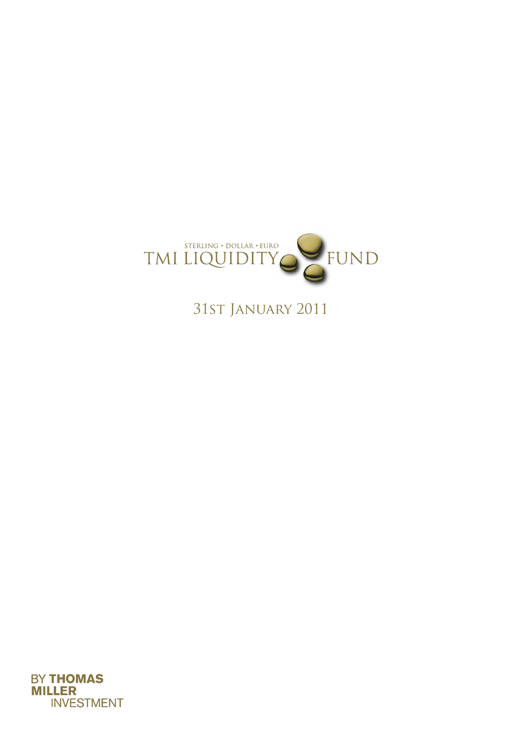

31st January 2011

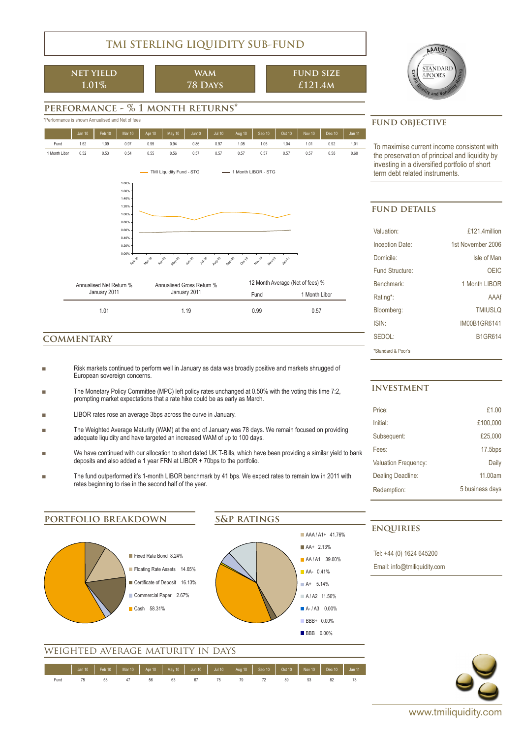## **TMI STERLING LIQUIDITY SUB-FUND**

**net yield 1.01%**

**wam 78 Days**

$$
\begin{array}{c}\n\text{FUND SIZE} \\
\text{£121.4M}\n\end{array}
$$



## **performance - % 1 month returns\***



#### **commentary**

- Risk markets continued to perform well in January as data was broadly positive and markets shrugged of European sovereign concerns.
- The Monetary Policy Committee (MPC) left policy rates unchanged at 0.50% with the voting this time 7:2, prompting market expectations that a rate hike could be as early as March.
- LIBOR rates rose an average 3bps across the curve in January.
- The Weighted Average Maturity (WAM) at the end of January was 78 days. We remain focused on providing adequate liquidity and have targeted an increased WAM of up to 100 days.
- We have continued with our allocation to short dated UK T-Bills, which have been providing a similar yield to bank deposits and also added a 1 year FRN at LIBOR + 70bps to the portfolio.
- The fund outperformed it's 1-month LIBOR benchmark by 41 bps. We expect rates to remain low in 2011 with rates beginning to rise in the second half of the year.

To maximise current income consistent with the preservation of principal and liquidity by investing in a diversified portfolio of short

#### **fund details**

| Valuation:             | £121.4million     |
|------------------------|-------------------|
| <b>Inception Date:</b> | 1st November 2006 |
| Domicile:              | Isle of Man       |
| Fund Structure:        | OEIC              |
| Benchmark <sup>-</sup> | 1 Month I IBOR    |
| Rating*:               | AAAf              |
| Bloomberg:             | <b>TMIUSLO</b>    |
| ISIN:                  | IM00B1GR6141      |
| SFDOI                  | <b>B1GR614</b>    |
| *Standard & Poor's     |                   |

#### **investment**

| Price:                      | £1.00           |
|-----------------------------|-----------------|
| Initial:                    | £100.000        |
| Subsequent:                 | £25,000         |
| Fees:                       | $17.5$ bps      |
| <b>Valuation Frequency:</b> | Daily           |
| Dealing Deadline:           | 11 00am         |
| Redemption:                 | 5 business days |
|                             |                 |

## **portfolio breakdown**



#### **s&p ratings**



## weighted average maturity in days

|      | Jan 10   Feb 10   Mar 10   Apr 10   May 10   Jun 10   Jul 10   Aug 10   Sep 10   Oct 10   Nov 10   Dec 10   Jan 11 |  |  |  |  |              |    |  |
|------|--------------------------------------------------------------------------------------------------------------------|--|--|--|--|--------------|----|--|
|      |                                                                                                                    |  |  |  |  |              |    |  |
| Fund | 58 47 56 63 67 75 79 72                                                                                            |  |  |  |  | <b>89 93</b> | 82 |  |

# **enquiries**

Tel: +44 (0) 1624 645200 Email: info@tmiliquidity.com

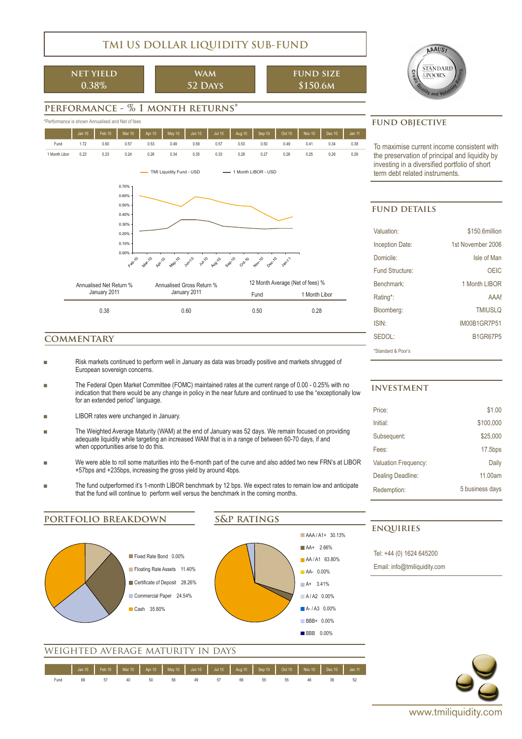## **TMI US DOLLAR LIQUIDITY SUB-FUND**

**net yield 0.38%**

**wam 52 Days**

**fund size \$150.6m**



## **performance - % 1 month returns\***





### **commentary**

- Risk markets continued to perform well in January as data was broadly positive and markets shrugged of European sovereign concerns.
- The Federal Open Market Committee (FOMC) maintained rates at the current range of 0.00 0.25% with no indication that there would be any change in policy in the near future and continued to use the "exceptionally low for an extended period" language.
- LIBOR rates were unchanged in January.
- The Weighted Average Maturity (WAM) at the end of January was 52 days. We remain focused on providing adequate liquidity while targeting an increased WAM that is in a range of between 60-70 days, if and when opportunities arise to do this.
- We were able to roll some maturities into the 6-month part of the curve and also added two new FRN's at LIBOR +57bps and +235bps, increasing the gross yield by around 4bps.
- The fund outperformed it's 1-month LIBOR benchmark by 12 bps. We expect rates to remain low and anticipate that the fund will continue to perform well versus the benchmark in the coming months.

**portfolio breakdown**



#### **s&p ratings**



To maximise current income consistent with the preservation of principal and liquidity by investing in a diversified portfolio of short

#### **fund details**

| Valuation <sup>-</sup> | \$150.6million    |
|------------------------|-------------------|
| <b>Inception Date:</b> | 1st November 2006 |
| Domicile:              | Isle of Man       |
| Fund Structure:        | OEIC              |
| Benchmark <sup>-</sup> | 1 Month LIBOR     |
| Rating*:               | AAAf              |
| Bloomberg:             | <b>TMIUSLO</b>    |
| <b>ISIN</b>            | IM00B1GR7P51      |
| SEDOL:                 | <b>B1GR67P5</b>   |
| *Standard & Poor's     |                   |

#### **investment**

| Price:                      | \$1.00          |
|-----------------------------|-----------------|
| Initial:                    | \$100.000       |
| Subsequent:                 | \$25,000        |
| Fees:                       | $17.5$ bps      |
| <b>Valuation Frequency:</b> | Daily           |
| Dealing Deadline:           | 11.00am         |
| Redemption:                 | 5 business days |
|                             |                 |

#### **enquiries**

Tel: +44 (0) 1624 645200

Email: info@tmiliquidity.com



weighted average maturity in days

|      | Jan 10   Feb 10   Mar 10   Apr 10   May 10   Jun 10   Jul 10   Aug 10   Sep 10   Oct 10   Nov 10   Dec 10   Jan 11 |       |    |       |    |       |  |  |
|------|--------------------------------------------------------------------------------------------------------------------|-------|----|-------|----|-------|--|--|
| Fund |                                                                                                                    | 40 50 | 56 | 49 49 | 66 | 55 33 |  |  |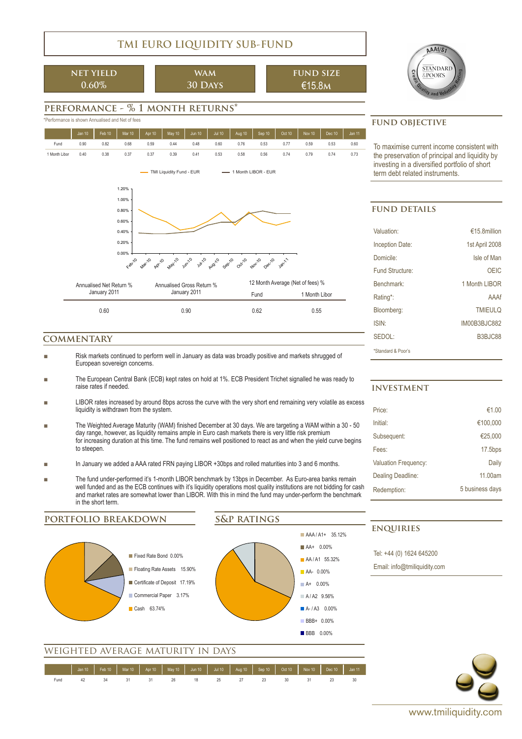## **TMI EURO LIQUIDITY SUB-FUND**

**net yield 0.60%**

**wam 30 Days**

$$
\begin{array}{c}\n\text{FUND SIZE} \\
\text{£15.8M}\n\end{array}
$$



## **performance - % 1 month returns\***



#### **commentary**

- Risk markets continued to perform well in January as data was broadly positive and markets shrugged of European sovereign concerns.
- The European Central Bank (ECB) kept rates on hold at 1%. ECB President Trichet signalled he was ready to raise rates if needed.
- LIBOR rates increased by around 8bps across the curve with the very short end remaining very volatile as excess liquidity is withdrawn from the system.
- The Weighted Average Maturity (WAM) finished December at 30 days. We are targeting a WAM within a 30 50 day range, however, as liquidity remains ample in Euro cash markets there is very little risk premium for increasing duration at this time. The fund remains well positioned to react as and when the yield curve begins to steepen.
- In January we added a AAA rated FRN paying LIBOR +30bps and rolled maturities into 3 and 6 months.
- The fund under-performed it's 1-month LIBOR benchmark by 13bps in December. As Euro-area banks remain well funded and as the ECB continues with it's liquidity operations most quality institutions are not bidding for cash and market rates are somewhat lower than LIBOR. With this in mind the fund may under-perform the benchmark in the short term.

**portfolio breakdown**





### weighted average maturity in days

|      |  |    |       |  |             |  | │ │ Jan 10 │ Feb 10 │ Mar 10 │ Apr 10 │ May 10 │ Jun 10 │ Jul 10 │ Aug 10 │ Sep 10 │ Oct 10 │ Nov 10 │ Dec 10 │ Jan 11 |  |
|------|--|----|-------|--|-------------|--|------------------------------------------------------------------------------------------------------------------------|--|
| Fund |  | 31 | 31 26 |  | 18 25 27 23 |  |                                                                                                                        |  |

To maximise current income consistent with the preservation of principal and liquidity by investing in a diversified portfolio of short

#### **fund details**

| Valuation:             | €15.8million   |
|------------------------|----------------|
| Inception Date:        | 1st April 2008 |
| Domicile:              | Isle of Man    |
| Fund Structure:        | OEIC           |
| Benchmark <sup>-</sup> | 1 Month LIBOR  |
| Rating*:               | AAAf           |
| Bloomberg:             | <b>TMIEULO</b> |
| <b>ISIN</b>            | IM00B3BJC882   |
| SFDOI                  | B3BJC88        |
| *Standard & Poor's     |                |

#### **investment**

| Price:                      | €1.00           |
|-----------------------------|-----------------|
| Initial:                    | €100,000        |
| Subsequent:                 | €25,000         |
| Fees:                       | $17.5$ bps      |
| <b>Valuation Frequency:</b> | Daily           |
| Dealing Deadline:           | 11.00am         |
| Redemption:                 | 5 business days |
|                             |                 |

#### **enquiries**

Tel: +44 (0) 1624 645200

Email: info@tmiliquidity.com